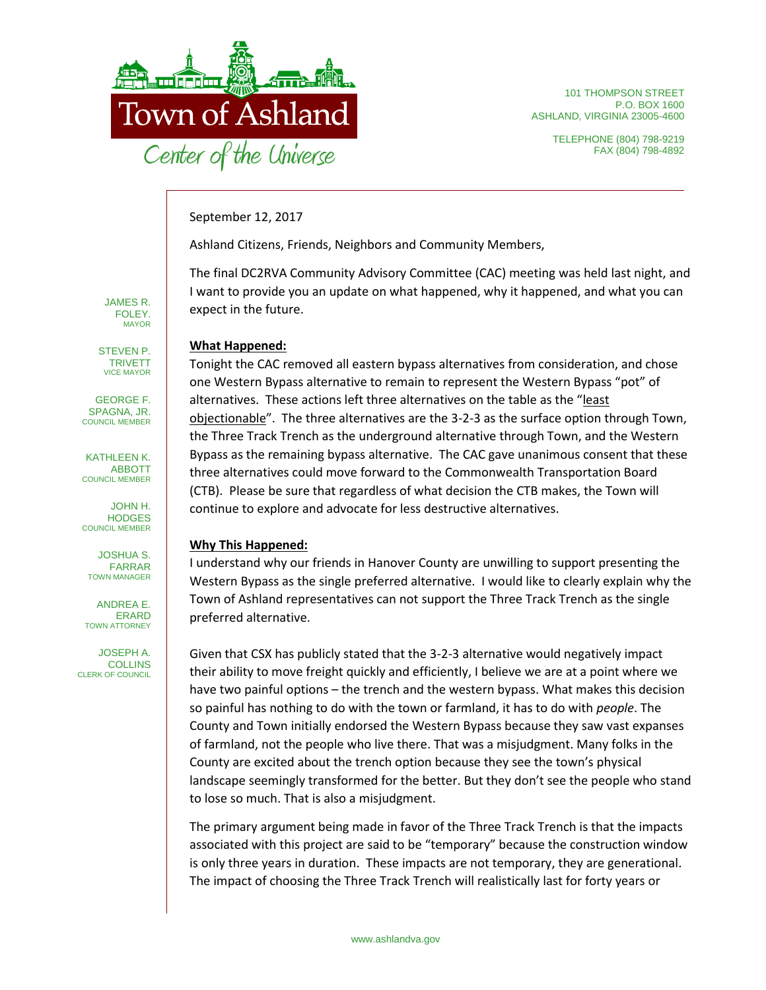

101 THOMPSON STREET P.O. BOX 1600 ASHLAND, VIRGINIA 23005-4600

> TELEPHONE (804) 798-9219 FAX (804) 798-4892

September 12, 2017

Ashland Citizens, Friends, Neighbors and Community Members,

The final DC2RVA Community Advisory Committee (CAC) meeting was held last night, and I want to provide you an update on what happened, why it happened, and what you can expect in the future.

## **What Happened:**

Tonight the CAC removed all eastern bypass alternatives from consideration, and chose one Western Bypass alternative to remain to represent the Western Bypass "pot" of alternatives. These actions left three alternatives on the table as the "least objectionable". The three alternatives are the 3-2-3 as the surface option through Town, the Three Track Trench as the underground alternative through Town, and the Western Bypass as the remaining bypass alternative. The CAC gave unanimous consent that these three alternatives could move forward to the Commonwealth Transportation Board (CTB). Please be sure that regardless of what decision the CTB makes, the Town will continue to explore and advocate for less destructive alternatives.

## **Why This Happened:**

I understand why our friends in Hanover County are unwilling to support presenting the Western Bypass as the single preferred alternative. I would like to clearly explain why the Town of Ashland representatives can not support the Three Track Trench as the single preferred alternative.

Given that CSX has publicly stated that the 3-2-3 alternative would negatively impact their ability to move freight quickly and efficiently, I believe we are at a point where we have two painful options – the trench and the western bypass. What makes this decision so painful has nothing to do with the town or farmland, it has to do with *people*. The County and Town initially endorsed the Western Bypass because they saw vast expanses of farmland, not the people who live there. That was a misjudgment. Many folks in the County are excited about the trench option because they see the town's physical landscape seemingly transformed for the better. But they don't see the people who stand to lose so much. That is also a misjudgment.

The primary argument being made in favor of the Three Track Trench is that the impacts associated with this project are said to be "temporary" because the construction window is only three years in duration. These impacts are not temporary, they are generational. The impact of choosing the Three Track Trench will realistically last for forty years or

JAMES R. FOLEY. MAYOR

STEVEN P. TRIVETT VICE MAYOR

GEORGE F. SPAGNA, JR. COUNCIL MEMBER

KATHLEEN K. ABBOTT COUNCIL MEMBER

JOHN H. **HODGES** COUNCIL MEMBER

JOSHUA S. FARRAR TOWN MANAGER

ANDREA E. ERARD TOWN ATTORNEY

JOSEPH A. COLLINS CLERK OF COUNCIL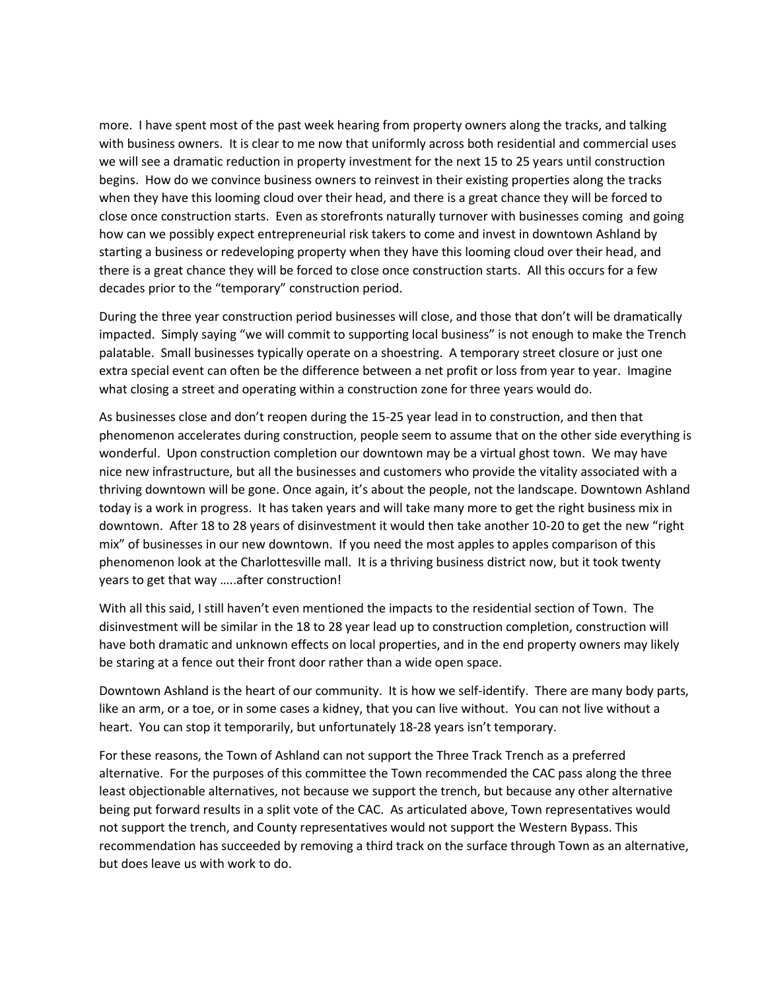more. I have spent most of the past week hearing from property owners along the tracks, and talking with business owners. It is clear to me now that uniformly across both residential and commercial uses we will see a dramatic reduction in property investment for the next 15 to 25 years until construction begins. How do we convince business owners to reinvest in their existing properties along the tracks when they have this looming cloud over their head, and there is a great chance they will be forced to close once construction starts. Even as storefronts naturally turnover with businesses coming and going how can we possibly expect entrepreneurial risk takers to come and invest in downtown Ashland by starting a business or redeveloping property when they have this looming cloud over their head, and there is a great chance they will be forced to close once construction starts. All this occurs for a few decades prior to the "temporary" construction period.

During the three year construction period businesses will close, and those that don't will be dramatically impacted. Simply saying "we will commit to supporting local business" is not enough to make the Trench palatable. Small businesses typically operate on a shoestring. A temporary street closure or just one extra special event can often be the difference between a net profit or loss from year to year. Imagine what closing a street and operating within a construction zone for three years would do.

As businesses close and don't reopen during the 15-25 year lead in to construction, and then that phenomenon accelerates during construction, people seem to assume that on the other side everything is wonderful. Upon construction completion our downtown may be a virtual ghost town. We may have nice new infrastructure, but all the businesses and customers who provide the vitality associated with a thriving downtown will be gone. Once again, it's about the people, not the landscape. Downtown Ashland today is a work in progress. It has taken years and will take many more to get the right business mix in downtown. After 18 to 28 years of disinvestment it would then take another 10-20 to get the new "right mix" of businesses in our new downtown. If you need the most apples to apples comparison of this phenomenon look at the Charlottesville mall. It is a thriving business district now, but it took twenty years to get that way …..after construction!

With all this said, I still haven't even mentioned the impacts to the residential section of Town. The disinvestment will be similar in the 18 to 28 year lead up to construction completion, construction will have both dramatic and unknown effects on local properties, and in the end property owners may likely be staring at a fence out their front door rather than a wide open space.

Downtown Ashland is the heart of our community. It is how we self-identify. There are many body parts, like an arm, or a toe, or in some cases a kidney, that you can live without. You can not live without a heart. You can stop it temporarily, but unfortunately 18-28 years isn't temporary.

For these reasons, the Town of Ashland can not support the Three Track Trench as a preferred alternative. For the purposes of this committee the Town recommended the CAC pass along the three least objectionable alternatives, not because we support the trench, but because any other alternative being put forward results in a split vote of the CAC. As articulated above, Town representatives would not support the trench, and County representatives would not support the Western Bypass. This recommendation has succeeded by removing a third track on the surface through Town as an alternative, but does leave us with work to do.